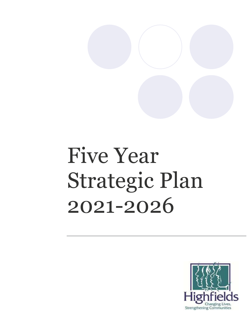

# Five Year Strategic Plan 2021-2026

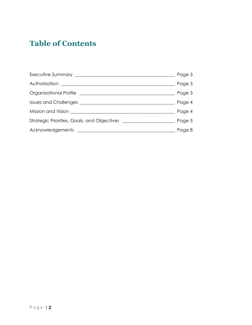# **Table of Contents**

|                                                                                                                                                                                                                                      | Page 3 |
|--------------------------------------------------------------------------------------------------------------------------------------------------------------------------------------------------------------------------------------|--------|
|                                                                                                                                                                                                                                      | Page 3 |
| Organizational Profile <u>expressional and the set of the set of the set of the set of the set of the set of the set of the set of the set of the set of the set of the set of the set of the set of the set of the set of the s</u> | Page 3 |
|                                                                                                                                                                                                                                      | Page 4 |
| Mission and Vision <b>Accepted Accepts</b> Mission and Vision                                                                                                                                                                        | Page 4 |
|                                                                                                                                                                                                                                      | Page 5 |
|                                                                                                                                                                                                                                      | Page 8 |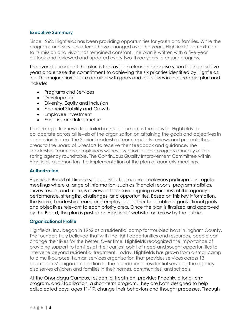#### **Executive Summary**

Since 1962, Highfields has been providing opportunities for youth and families. While the programs and services offered have changed over the years, Highfields' commitment to its mission and vision has remained constant. The plan is written with a five-year outlook and reviewed and updated every two-three years to ensure progress.

The overall purpose of the plan is to provide a clear and concise vision for the next five years and ensure the commitment to achieving the six priorities identified by Highfields, Inc. The major priorities are detailed with goals and objectives in the strategic plan and include:

- Programs and Services
- Development
- Diversity, Equity and Inclusion
- Financial Stability and Growth
- Employee Investment
- Facilities and Infrastructure

The strategic framework detailed in this document is the basis for Highfields to collaborate across all levels of the organization on attaining the goals and objectives in each priority area. The Senior Leadership Team regularly reviews and presents these areas to the Board of Directors to receive their feedback and guidance. The Leadership Team and employees will review priorities and progress annually at the spring agency roundtable. The Continuous Quality Improvement Committee within Highfields also monitors the implementation of the plan at quarterly meetings.

#### **Authorization**

Highfields Board of Directors, Leadership Team, and employees participate in regular meetings where a range of information, such as financial reports, program statistics, survey results, and more, is reviewed to ensure ongoing awareness of the agency's performance, strengths, challenges, and opportunities. Based on this key information, the Board, Leadership Team, and employees partner to establish organizational goals and objectives relevant to each priority area. Once the plan is finalized and approved by the Board, the plan is posted on Highfields' website for review by the public.

#### **Organizational Profile**

Highfields, Inc. began in 1962 as a residential camp for troubled boys in Ingham County. The founders truly believed that with the right opportunities and resources, people can change their lives for the better. Over time, Highfields recognized the importance of providing support to families at their earliest point of need and sought opportunities to intervene beyond residential treatment. Today, Highfields has grown from a small camp to a multi-purpose, human services organization that provides services across 13 counties in Michigan. In addition to the foundational residential services, the agency also serves children and families in their homes, communities, and schools.

At the Onondaga Campus, residential treatment provides Phoenix, a long-term program, and Stabilization, a short-term program. They are both designed to help adjudicated boys, ages 11-17, change their behaviors and thought processes. Through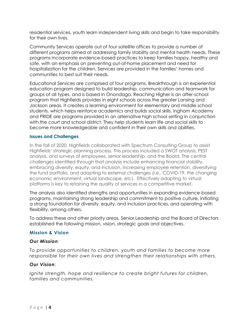residential services, youth learn independent living skills and begin to take responsibility for their own lives.

Community Services operate out of four satellite offices to provide a number of different programs aimed at addressing family stability and mental health needs. These programs incorporate evidence-based practices to keep families happy, healthy and safe, with an emphasis on preventing out-of-home placement and need for hospitalization for the children. Services are provided in the families' homes and communities to best suit their needs.

Educational Services are comprised of four programs. Breakthrough is an experiential education program designed to build leadership, communication and teamwork for groups of all types, and is based in Onondaga. Reaching Higher is an after-school program that Highfields provides in eight schools across the greater Lansing and Jackson areas. It creates a learning environment for elementary and middle school students, which helps reinforce academics and builds social skills. Ingham Academy and PRIDE are programs provided in an alternative high school setting in conjunction with the court and school district. They help students learn life and social skills to become more knowledgeable and confident in their own skills and abilities.

#### **Issues and Challenges**

In the fall of 2020, Highfields collaborated with Spectrum Consulting Group to assist Highfields' strategic planning process. This process included a SWOT analysis, PEST analysis, and surveys of employees, senior leadership, and the Board. The central challenges identified through that analysis include enhancing financial stability, embracing diversity, equity, and inclusion, increasing employee retention, diversifying the fund portfolio, and adapting to external challenges (i.e., COVID-19, the changing economic environment, virtual landscape, etc). Effectively adapting to virtual platforms is key to retaining the quality of services in a competitive market.

The analysis also identified strengths and opportunities in expanding evidence-based programs, maintaining strong leadership and commitment to positive culture, initiating a strong foundation for diversity, equity, and inclusion practices, and operating with flexibility, among others.

To address these and other priority areas, Senior Leadership and the Board of Directors established the following mission, vision, strategic goals and objectives.

# **Mission & Vision**

#### *Our Mission:*

*To provide opportunities to children, youth and families to become more responsible for their own lives and strengthen their relationships with others.*

# *Our Vision:*

*Ignite strength, hope and resilience to create bright futures for children, families and communities.*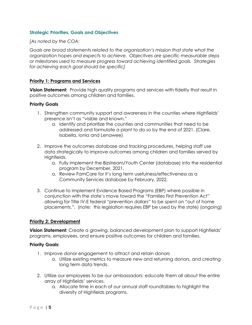#### **Strategic Priorities, Goals and Objectives**

*[As noted by the COA:* 

*Goals are broad statements related to the organization's mission that state what the organization hopes and expects to achieve. Objectives are specific measurable steps or milestones used to measure progress toward achieving identified goals. Strategies for achieving each goal should be specific]*

#### **Priority 1: Programs and Services**

**Vision Statement:** Provide high quality programs and services with fidelity that result in positive outcomes among children and families.

#### **Priority Goals**

- 1. Strengthen community support and awareness in the counties where Highfields' presence isn't as "visible and known."
	- a. Identify and prioritize the counties and communities that need to be addressed and formulate a plant to do so by the end of 2021. (Clare, Isabella, Ionia and Lenawee)
- 2. Improve the outcomes database and tracking procedures, helping staff use data strategically to improve outcomes among children and families served by Highfields.
	- a. Fully implement the Bizstream/Youth Center (database) into the residential program by December, 2021.
	- a. Review FamCare for it's long term usefulness/effectiveness as a Community Services database by February, 2022.
- 3. Continue to implement Evidence Based Programs (EBP) where possible in conjunction with the state's move toward the "Families First Prevention Act" allowing for Title IV-E federal "prevention dollars" to be spent on "out of home placements.". (note: this legislation requires EBP be used by the state) (ongoing)

#### **Priority 2: Development**

**Vision Statement:** Create a growing, balanced development plan to support Highfields' programs, employees, and ensure positive outcomes for children and families.

#### **Priority Goals:**

- 1. Improve donor engagement to attract and retain donors
	- a. Utilize existing metrics to measure new and returning donors, and creating long term data trends.
- 2. Utilize our employees to be our ambassadors; educate them all about the entire array of Highfields' services.
	- a. Allocate time in each of our annual staff roundtables to highlight the diversity of Highfields programs.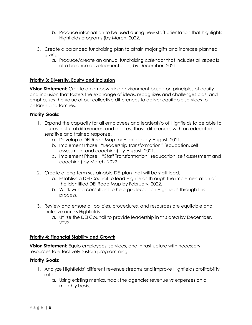- b. Produce information to be used during new staff orientation that highlights Highfields programs (by March, 2022.
- 3. Create a balanced fundraising plan to attain major gifts and increase planned giving.
	- a. Produce/create an annual fundraising calendar that includes all aspects of a balance development plan, by December, 2021.

#### **Priority 3: Diversity, Equity and Inclusion**

**Vision Statement:** Create an empowering environment based on principles of equity and inclusion that fosters the exchange of ideas, recognizes and challenges bias, and emphasizes the value of our collective differences to deliver equitable services to children and families.

#### **Priority Goals:**

- 1. Expand the capacity for all employees and leadership of Highfields to be able to discuss cultural differences, and address those differences with an educated, sensitive and trained response.
	- a. Develop a DEI Road Map for Highfields by August, 2021.
	- b. Implement Phase I "Leadership Transformation" (education, self assessment and coaching) by August, 2021.
	- c. Implement Phase II "Staff Transformation" (education, self assessment and coaching) by March, 2022.
- 2. Create a long-term sustainable DEI plan that will be staff lead.
	- a. Establish a DEI Council to lead Highfields through the implementation of the identified DEI Road Map by February, 2022.
	- b. Work with a consultant to help guide/coach Highfields through this process.
- 3. Review and ensure all policies, procedures, and resources are equitable and inclusive across Highfields.
	- a. Utilize the DEI Council to provide leadership in this area by December, 2022.

#### **Priority 4: Financial Stability and Growth**

**Vision Statement:** Equip employees, services, and infrastructure with necessary resources to effectively sustain programming.

#### **Priority Goals:**

- 1. Analyze Highfields' different revenue streams and improve Highfields profitability rate.
	- a. Using existing metrics, track the agencies revenue vs expenses on a monthly basis.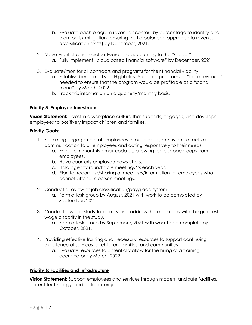- b. Evaluate each program revenue "center" by percentage to identify and plan for risk mitigation (ensuring that a balanced approach to revenue diversification exists) by December, 2021.
- 2. Move Highfields financial software and accounting to the "Cloud."
	- a. Fully implement "cloud based financial software" by December, 2021.
- 3. Evaluate/monitor all contracts and programs for their financial viability.
	- a. Establish benchmarks for Highfields' 5 biggest programs of "base revenue" needed to ensure that the program would be profitable as a "stand alone" by March, 2022.
	- b. Track this information on a quarterly/monthly basis.

# **Priority 5: Employee Investment**

**Vision Statement:** Invest in a workplace culture that supports, engages, and develops employees to positively impact children and families.

# **Priority Goals:**

- 1. Sustaining engagement of employees through open, consistent, effective communication to all employees and acting responsively to their needs
	- a. Engage in monthly email updates, allowing for feedback loops from employees.
	- b. Have quarterly employee newsletters.
	- c. Hold agency roundtable meetings 2x each year.
	- d. Plan for recording/sharing of meetings/information for employees who cannot attend in person meetings.
- 2. Conduct a review of job classification/paygrade system
	- a. Form a task group by August, 2021 with work to be completed by September, 2021.
- 3. Conduct a wage study to identify and address those positions with the greatest wage disparity in the study.
	- a. Form a task group by September, 2021 with work to be complete by October, 2021.
- 4. Providing effective training and necessary resources to support continuing excellence of services for children, families, and communities
	- a. Evaluate resources to potentially allow for the hiring of a training coordinator by March, 2022.

# **Priority 6: Facilities and Infrastructure**

**Vision Statement:** Support employees and services through modern and safe facilities, current technology, and data security.